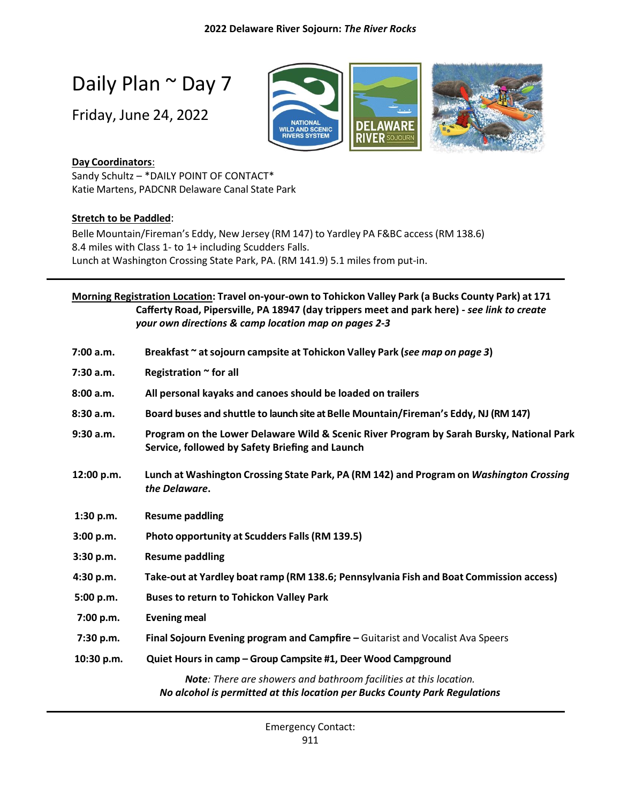# Daily Plan ~ Day 7

Friday, June 24, 2022



# **Day Coordinators**:

Sandy Schultz – \*DAILY POINT OF CONTACT\* Katie Martens, PADCNR Delaware Canal State Park

### **Stretch to be Paddled**:

Belle Mountain/Fireman's Eddy, New Jersey (RM 147) to Yardley PA F&BC access (RM 138.6) 8.4 miles with Class 1- to 1+ including Scudders Falls. Lunch at Washington Crossing State Park, PA. (RM 141.9) 5.1 miles from put-in.

|            | Morning Registration Location: Travel on-your-own to Tohickon Valley Park (a Bucks County Park) at 171                                          |
|------------|-------------------------------------------------------------------------------------------------------------------------------------------------|
|            | Cafferty Road, Pipersville, PA 18947 (day trippers meet and park here) - see link to create                                                     |
|            | your own directions & camp location map on pages 2-3                                                                                            |
| 7:00 a.m.  | Breakfast ~ at sojourn campsite at Tohickon Valley Park (see map on page 3)                                                                     |
| 7:30 a.m.  | Registration ~ for all                                                                                                                          |
| 8:00 a.m.  | All personal kayaks and canoes should be loaded on trailers                                                                                     |
| 8:30 a.m.  | Board buses and shuttle to launch site at Belle Mountain/Fireman's Eddy, NJ (RM 147)                                                            |
| 9:30 a.m.  | Program on the Lower Delaware Wild & Scenic River Program by Sarah Bursky, National Park<br>Service, followed by Safety Briefing and Launch     |
| 12:00 p.m. | Lunch at Washington Crossing State Park, PA (RM 142) and Program on Washington Crossing<br>the Delaware.                                        |
| 1:30 p.m.  | <b>Resume paddling</b>                                                                                                                          |
| 3:00 p.m.  | Photo opportunity at Scudders Falls (RM 139.5)                                                                                                  |
| 3:30 p.m.  | <b>Resume paddling</b>                                                                                                                          |
| 4:30 p.m.  | Take-out at Yardley boat ramp (RM 138.6; Pennsylvania Fish and Boat Commission access)                                                          |
| 5:00 p.m.  | <b>Buses to return to Tohickon Valley Park</b>                                                                                                  |
| 7:00 p.m.  | <b>Evening meal</b>                                                                                                                             |
| 7:30 p.m.  | Final Sojourn Evening program and Campfire - Guitarist and Vocalist Ava Speers                                                                  |
| 10:30 p.m. | Quiet Hours in camp - Group Campsite #1, Deer Wood Campground                                                                                   |
|            | Note: There are showers and bathroom facilities at this location.<br>No alcohol is permitted at this location per Bucks County Park Regulations |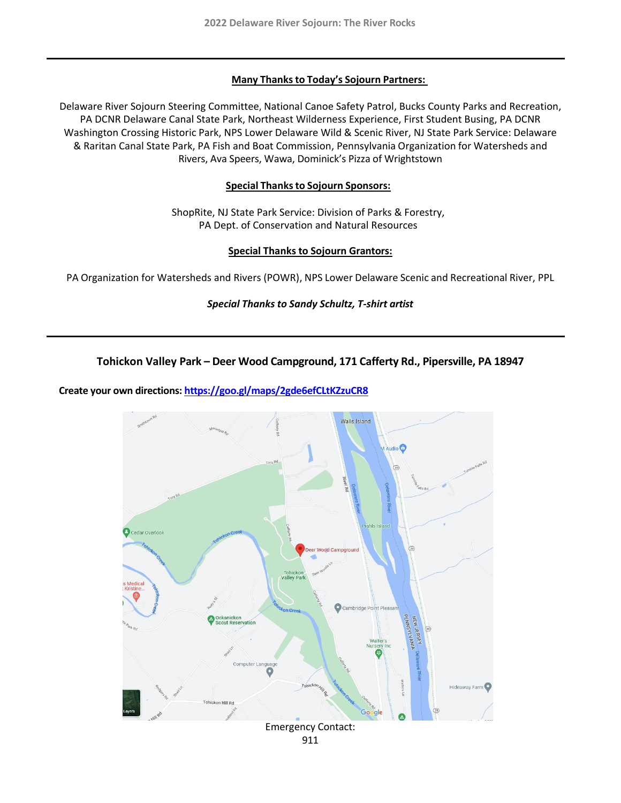#### **Many Thanksto Today's Sojourn Partners:**

Delaware River Sojourn Steering Committee, National Canoe Safety Patrol, Bucks County Parks and Recreation, PA DCNR Delaware Canal State Park, Northeast Wilderness Experience, First Student Busing, PA DCNR Washington Crossing Historic Park, NPS Lower Delaware Wild & Scenic River, NJ State Park Service: Delaware & Raritan Canal State Park, PA Fish and Boat Commission, Pennsylvania Organization for Watersheds and Rivers, Ava Speers, Wawa, Dominick's Pizza of Wrightstown

#### **Special Thanksto Sojourn Sponsors:**

ShopRite, NJ State Park Service: Division of Parks & Forestry, PA Dept. of Conservation and Natural Resources

#### **Special Thanks to Sojourn Grantors:**

PA Organization for Watersheds and Rivers (POWR), NPS Lower Delaware Scenic and Recreational River, PPL

#### *Special Thanks to Sandy Schultz, T-shirt artist*

#### **Tohickon Valley Park – Deer Wood Campground, 171 Cafferty Rd., Pipersville, PA 18947**

#### **Create your own directions:<https://goo.gl/maps/2gde6efCLtKZzuCR8>**